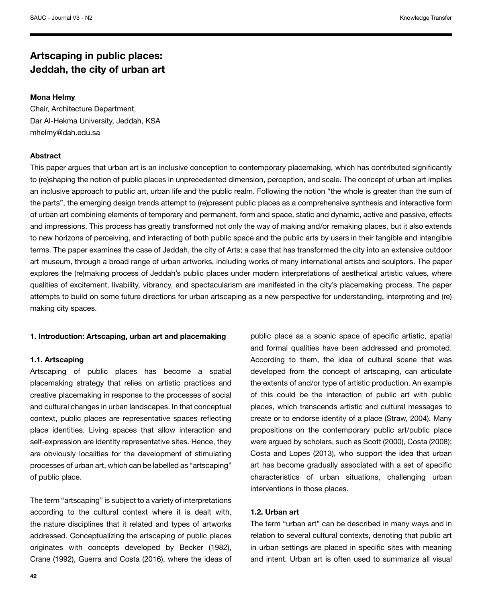## **Artscaping in public places: Jeddah, the city of urban art**

## **Mona Helmy**

Chair, Architecture Department, Dar Al-Hekma University, Jeddah, KSA mhelmy@dah.edu.sa

## **Abstract**

This paper argues that urban art is an inclusive conception to contemporary placemaking, which has contributed significantly to (re)shaping the notion of public places in unprecedented dimension, perception, and scale. The concept of urban art implies an inclusive approach to public art, urban life and the public realm. Following the notion "the whole is greater than the sum of the parts", the emerging design trends attempt to (re)present public places as a comprehensive synthesis and interactive form of urban art combining elements of temporary and permanent, form and space, static and dynamic, active and passive, effects and impressions. This process has greatly transformed not only the way of making and/or remaking places, but it also extends to new horizons of perceiving, and interacting of both public space and the public arts by users in their tangible and intangible terms. The paper examines the case of Jeddah, the city of Arts; a case that has transformed the city into an extensive outdoor art museum, through a broad range of urban artworks, including works of many international artists and sculptors. The paper explores the (re)making process of Jeddah's public places under modern interpretations of aesthetical artistic values, where qualities of excitement, livability, vibrancy, and spectacularism are manifested in the city's placemaking process. The paper attempts to build on some future directions for urban artscaping as a new perspective for understanding, interpreting and (re) making city spaces.

## **1. Introduction: Artscaping, urban art and placemaking**

#### **1.1. Artscaping**

Artscaping of public places has become a spatial placemaking strategy that relies on artistic practices and creative placemaking in response to the processes of social and cultural changes in urban landscapes. In that conceptual context, public places are representative spaces reflecting place identities. Living spaces that allow interaction and self-expression are identity representative sites. Hence, they are obviously localities for the development of stimulating processes of urban art, which can be labelled as "artscaping" of public place.

The term "artscaping" is subject to a variety of interpretations according to the cultural context where it is dealt with, the nature disciplines that it related and types of artworks addressed. Conceptualizing the artscaping of public places originates with concepts developed by Becker (1982), Crane (1992), Guerra and Costa (2016), where the ideas of public place as a scenic space of specific artistic, spatial and formal qualities have been addressed and promoted. According to them, the idea of cultural scene that was developed from the concept of artscaping, can articulate the extents of and/or type of artistic production. An example of this could be the interaction of public art with public places, which transcends artistic and cultural messages to create or to endorse identity of a place (Straw, 2004). Many propositions on the contemporary public art/public place were argued by scholars, such as Scott (2000), Costa (2008); Costa and Lopes (2013), who support the idea that urban art has become gradually associated with a set of specific characteristics of urban situations, challenging urban interventions in those places.

#### **1.2. Urban art**

The term "urban art" can be described in many ways and in relation to several cultural contexts, denoting that public art in urban settings are placed in specific sites with meaning and intent. Urban art is often used to summarize all visual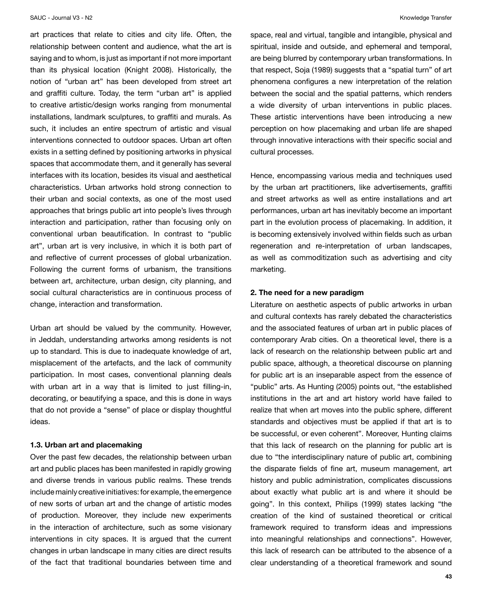art practices that relate to cities and city life. Often, the relationship between content and audience, what the art is saying and to whom, is just as important if not more important than its physical location (Knight 2008). Historically, the notion of "urban art" has been developed from street art and graffiti culture. Today, the term "urban art" is applied to creative artistic/design works ranging from monumental installations, landmark sculptures, to graffiti and murals. As such, it includes an entire spectrum of artistic and visual interventions connected to outdoor spaces. Urban art often exists in a setting defined by positioning artworks in physical spaces that accommodate them, and it generally has several interfaces with its location, besides its visual and aesthetical characteristics. Urban artworks hold strong connection to their urban and social contexts, as one of the most used approaches that brings public art into people's lives through interaction and participation, rather than focusing only on conventional urban beautification. In contrast to "public art", urban art is very inclusive, in which it is both part of and reflective of current processes of global urbanization. Following the current forms of urbanism, the transitions between art, architecture, urban design, city planning, and social cultural characteristics are in continuous process of change, interaction and transformation.

Urban art should be valued by the community. However, in Jeddah, understanding artworks among residents is not up to standard. This is due to inadequate knowledge of art, misplacement of the artefacts, and the lack of community participation. In most cases, conventional planning deals with urban art in a way that is limited to just filling-in, decorating, or beautifying a space, and this is done in ways that do not provide a "sense" of place or display thoughtful ideas.

#### **1.3. Urban art and placemaking**

Over the past few decades, the relationship between urban art and public places has been manifested in rapidly growing and diverse trends in various public realms. These trends include mainly creative initiatives: for example, the emergence of new sorts of urban art and the change of artistic modes of production. Moreover, they include new experiments in the interaction of architecture, such as some visionary interventions in city spaces. It is argued that the current changes in urban landscape in many cities are direct results of the fact that traditional boundaries between time and space, real and virtual, tangible and intangible, physical and spiritual, inside and outside, and ephemeral and temporal, are being blurred by contemporary urban transformations. In that respect, Soja (1989) suggests that a "spatial turn" of art phenomena configures a new interpretation of the relation between the social and the spatial patterns, which renders a wide diversity of urban interventions in public places. These artistic interventions have been introducing a new perception on how placemaking and urban life are shaped through innovative interactions with their specific social and cultural processes.

Hence, encompassing various media and techniques used by the urban art practitioners, like advertisements, graffiti and street artworks as well as entire installations and art performances, urban art has inevitably become an important part in the evolution process of placemaking. In addition, it is becoming extensively involved within fields such as urban regeneration and re-interpretation of urban landscapes, as well as commoditization such as advertising and city marketing.

## **2. The need for a new paradigm**

Literature on aesthetic aspects of public artworks in urban and cultural contexts has rarely debated the characteristics and the associated features of urban art in public places of contemporary Arab cities. On a theoretical level, there is a lack of research on the relationship between public art and public space, although, a theoretical discourse on planning for public art is an inseparable aspect from the essence of "public" arts. As Hunting (2005) points out, "the established institutions in the art and art history world have failed to realize that when art moves into the public sphere, different standards and objectives must be applied if that art is to be successful, or even coherent". Moreover, Hunting claims that this lack of research on the planning for public art is due to "the interdisciplinary nature of public art, combining the disparate fields of fine art, museum management, art history and public administration, complicates discussions about exactly what public art is and where it should be going". In this context, Philips (1999) states lacking "the creation of the kind of sustained theoretical or critical framework required to transform ideas and impressions into meaningful relationships and connections". However, this lack of research can be attributed to the absence of a clear understanding of a theoretical framework and sound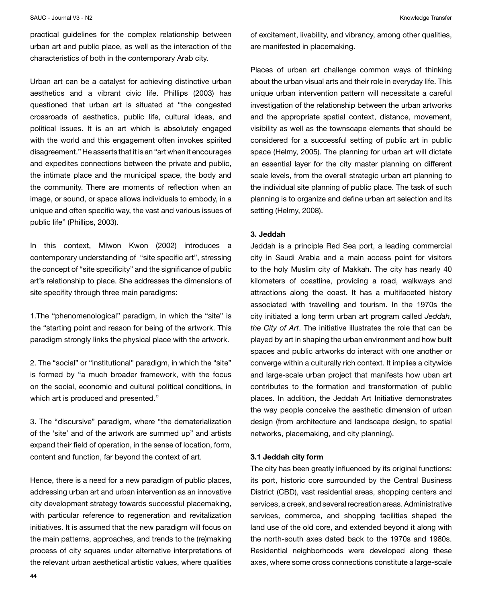practical guidelines for the complex relationship between urban art and public place, as well as the interaction of the characteristics of both in the contemporary Arab city.

Urban art can be a catalyst for achieving distinctive urban aesthetics and a vibrant civic life. Phillips (2003) has questioned that urban art is situated at "the congested crossroads of aesthetics, public life, cultural ideas, and political issues. It is an art which is absolutely engaged with the world and this engagement often invokes spirited disagreement." He asserts that it is an "art when it encourages and expedites connections between the private and public, the intimate place and the municipal space, the body and the community. There are moments of reflection when an image, or sound, or space allows individuals to embody, in a unique and often specific way, the vast and various issues of public life" (Phillips, 2003).

In this context, Miwon Kwon (2002) introduces a contemporary understanding of "site specific art", stressing the concept of "site specificity" and the significance of public art's relationship to place. She addresses the dimensions of site specifity through three main paradigms:

1.The "phenomenological" paradigm, in which the "site" is the "starting point and reason for being of the artwork. This paradigm strongly links the physical place with the artwork.

2. The "social" or "institutional" paradigm, in which the "site" is formed by "a much broader framework, with the focus on the social, economic and cultural political conditions, in which art is produced and presented."

3. The "discursive" paradigm, where "the dematerialization of the 'site' and of the artwork are summed up" and artists expand their field of operation, in the sense of location, form, content and function, far beyond the context of art.

Hence, there is a need for a new paradigm of public places, addressing urban art and urban intervention as an innovative city development strategy towards successful placemaking, with particular reference to regeneration and revitalization initiatives. It is assumed that the new paradigm will focus on the main patterns, approaches, and trends to the (re)making process of city squares under alternative interpretations of the relevant urban aesthetical artistic values, where qualities

of excitement, livability, and vibrancy, among other qualities, are manifested in placemaking.

Places of urban art challenge common ways of thinking about the urban visual arts and their role in everyday life. This unique urban intervention pattern will necessitate a careful investigation of the relationship between the urban artworks and the appropriate spatial context, distance, movement, visibility as well as the townscape elements that should be considered for a successful setting of public art in public space (Helmy, 2005). The planning for urban art will dictate an essential layer for the city master planning on different scale levels, from the overall strategic urban art planning to the individual site planning of public place. The task of such planning is to organize and define urban art selection and its setting (Helmy, 2008).

## **3. Jeddah**

Jeddah is a principle Red Sea port, a leading commercial city in Saudi Arabia and a main access point for visitors to the holy Muslim city of Makkah. The city has nearly 40 kilometers of coastline, providing a road, walkways and attractions along the coast. It has a multifaceted history associated with travelling and tourism. In the 1970s the city initiated a long term urban art program called *Jeddah, the City of Art*. The initiative illustrates the role that can be played by art in shaping the urban environment and how built spaces and public artworks do interact with one another or converge within a culturally rich context. It implies a citywide and large-scale urban project that manifests how uban art contributes to the formation and transformation of public places. In addition, the Jeddah Art Initiative demonstrates the way people conceive the aesthetic dimension of urban design (from architecture and landscape design, to spatial networks, placemaking, and city planning).

## **3.1 Jeddah city form**

The city has been greatly influenced by its original functions: its port, historic core surrounded by the Central Business District (CBD), vast residential areas, shopping centers and services, a creek, and several recreation areas. Administrative services, commerce, and shopping facilities shaped the land use of the old core, and extended beyond it along with the north-south axes dated back to the 1970s and 1980s. Residential neighborhoods were developed along these axes, where some cross connections constitute a large-scale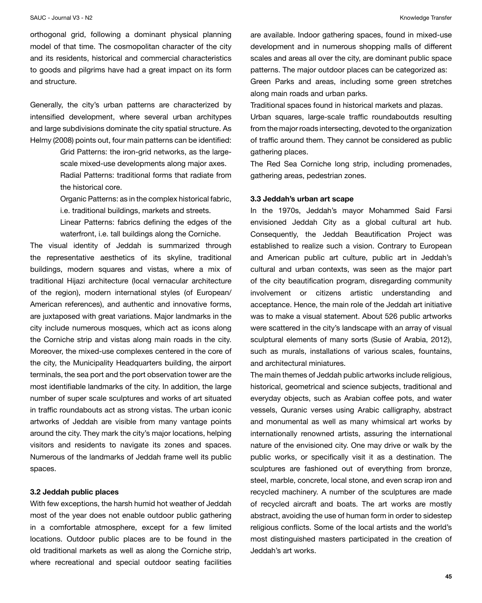#### SAUC - Journal V3 - N2 Nowledge Transfer

orthogonal grid, following a dominant physical planning model of that time. The cosmopolitan character of the city and its residents, historical and commercial characteristics to goods and pilgrims have had a great impact on its form and structure.

Generally, the city's urban patterns are characterized by intensified development, where several urban architypes and large subdivisions dominate the city spatial structure. As Helmy (2008) points out, four main patterns can be identified:

> Grid Patterns: the iron-grid networks, as the largescale mixed-use developments along major axes. Radial Patterns: traditional forms that radiate from

the historical core.

Organic Patterns: as in the complex historical fabric, i.e. traditional buildings, markets and streets.

Linear Patterns: fabrics defining the edges of the waterfront, i.e. tall buildings along the Corniche.

The visual identity of Jeddah is summarized through the representative aesthetics of its skyline, traditional buildings, modern squares and vistas, where a mix of traditional Hijazi architecture (local vernacular architecture of the region), modern international styles (of European/ American references), and authentic and innovative forms, are juxtaposed with great variations. Major landmarks in the city include numerous mosques, which act as icons along the Corniche strip and vistas along main roads in the city. Moreover, the mixed-use complexes centered in the core of the city, the Municipality Headquarters building, the airport terminals, the sea port and the port observation tower are the most identifiable landmarks of the city. In addition, the large number of super scale sculptures and works of art situated in traffic roundabouts act as strong vistas. The urban iconic artworks of Jeddah are visible from many vantage points around the city. They mark the city's major locations, helping visitors and residents to navigate its zones and spaces. Numerous of the landmarks of Jeddah frame well its public spaces.

#### **3.2 Jeddah public places**

With few exceptions, the harsh humid hot weather of Jeddah most of the year does not enable outdoor public gathering in a comfortable atmosphere, except for a few limited locations. Outdoor public places are to be found in the old traditional markets as well as along the Corniche strip, where recreational and special outdoor seating facilities

are available. Indoor gathering spaces, found in mixed-use development and in numerous shopping malls of different scales and areas all over the city, are dominant public space patterns. The major outdoor places can be categorized as: Green Parks and areas, including some green stretches along main roads and urban parks.

Traditional spaces found in historical markets and plazas. Urban squares, large-scale traffic roundaboutds resulting from the major roads intersecting, devoted to the organization of traffic around them. They cannot be considered as public gathering places.

The Red Sea Corniche long strip, including promenades, gathering areas, pedestrian zones.

#### **3.3 Jeddah's urban art scape**

In the 1970s, Jeddah's mayor Mohammed Said Farsi envisioned Jeddah City as a global cultural art hub. Consequently, the Jeddah Beautification Project was established to realize such a vision. Contrary to European and American public art culture, public art in Jeddah's cultural and urban contexts, was seen as the major part of the city beautification program, disregarding community involvement or citizens artistic understanding and acceptance. Hence, the main role of the Jeddah art initiative was to make a visual statement. About 526 public artworks were scattered in the city's landscape with an array of visual sculptural elements of many sorts (Susie of Arabia, 2012), such as murals, installations of various scales, fountains, and architectural miniatures.

The main themes of Jeddah public artworks include religious, historical, geometrical and science subjects, traditional and everyday objects, such as Arabian coffee pots, and water vessels, Quranic verses using Arabic calligraphy, abstract and monumental as well as many whimsical art works by internationally renowned artists, assuring the international nature of the envisioned city. One may drive or walk by the public works, or specifically visit it as a destination. The sculptures are fashioned out of everything from bronze, steel, marble, concrete, local stone, and even scrap iron and recycled machinery. A number of the sculptures are made of recycled aircraft and boats. The art works are mostly abstract, avoiding the use of human form in order to sidestep religious conflicts. Some of the local artists and the world's most distinguished masters participated in the creation of Jeddah's art works.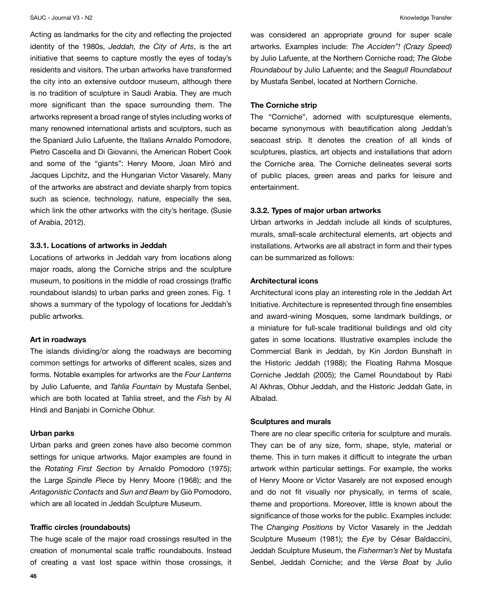Acting as landmarks for the city and reflecting the projected identity of the 1980s, *Jeddah, the City of Arts*, is the art initiative that seems to capture mostly the eyes of today's residents and visitors. The urban artworks have transformed the city into an extensive outdoor museum, although there is no tradition of sculpture in Saudi Arabia. They are much more significant than the space surrounding them. The artworks represent a broad range of styles including works of many renowned international artists and sculptors, such as the Spaniard Julio Lafuente, the Italians Arnaldo Pomodore, Pietro Cascella and Di Giovanni, the American Robert Cook and some of the "giants": Henry Moore, Joan Miró and Jacques Lipchitz, and the Hungarian Victor Vasarely. Many of the artworks are abstract and deviate sharply from topics such as science, technology, nature, especially the sea, which link the other artworks with the city's heritage. (Susie of Arabia, 2012).

#### **3.3.1. Locations of artworks in Jeddah**

Locations of artworks in Jeddah vary from locations along major roads, along the Corniche strips and the sculpture museum, to positions in the middle of road crossings (traffic roundabout islands) to urban parks and green zones. Fig. 1 shows a summary of the typology of locations for Jeddah's public artworks.

#### **Art in roadways**

The islands dividing/or along the roadways are becoming common settings for artworks of different scales, sizes and forms. Notable examples for artworks are the *Four Lanterns* by Julio Lafuente, and *Tahlia Fountain* by Mustafa Senbel, which are both located at Tahlia street, and the *Fish* by Al Hindi and Banjabi in Corniche Obhur.

## **Urban parks**

Urban parks and green zones have also become common settings for unique artworks. Major examples are found in the *Rotating First Section* by Arnaldo Pomodoro (1975); the Large *Spindle Piece* by Henry Moore (1968); and the *Antagonistic Contacts* and *Sun and Beam* by Giò Pomodoro, which are all located in Jeddah Sculpture Museum.

## **Traffic circles (roundabouts)**

The huge scale of the major road crossings resulted in the creation of monumental scale traffic roundabouts. Instead of creating a vast lost space within those crossings, it was considered an appropriate ground for super scale artworks. Examples include: *The Acciden"! (Crazy Speed)* by Julio Lafuente, at the Northern Corniche road; *The Globe Roundabout* by Julio Lafuente; and the *Seagull Roundabout* by Mustafa Senbel, located at Northern Corniche.

## **The Corniche strip**

The "Corniche", adorned with sculpturesque elements, became synonymous with beautification along Jeddah's seacoast strip. It denotes the creation of all kinds of sculptures, plastics, art objects and installations that adorn the Corniche area. The Corniche delineates several sorts of public places, green areas and parks for leisure and entertainment.

#### **3.3.2. Types of major urban artworks**

Urban artworks in Jeddah include all kinds of sculptures, murals, small-scale architectural elements, art objects and installations. Artworks are all abstract in form and their types can be summarized as follows:

## **Architectural icons**

Architectural icons play an interesting role in the Jeddah Art Initiative. Architecture is represented through fine ensembles and award-wining Mosques, some landmark buildings, or a miniature for full-scale traditional buildings and old city gates in some locations. Illustrative examples include the Commercial Bank in Jeddah, by Kin Jordon Bunshaft in the Historic Jeddah (1988); the Floating Rahma Mosque Corniche Jeddah (2005); the Camel Roundabout by Rabi Al Akhras, Obhur Jeddah, and the Historic Jeddah Gate, in Albalad.

#### **Sculptures and murals**

There are no clear specific criteria for sculpture and murals. They can be of any size, form, shape, style, material or theme. This in turn makes it difficult to integrate the urban artwork within particular settings. For example, the works of Henry Moore or Victor Vasarely are not exposed enough and do not fit visually nor physically, in terms of scale, theme and proportions. Moreover, little is known about the significance of those works for the public. Examples include: The *Changing Positions* by Victor Vasarely in the Jeddah Sculpture Museum (1981); the *Eye* by César Baldaccini, Jeddah Sculpture Museum, the *Fisherman's Net* by Mustafa Senbel, Jeddah Corniche; and the *Verse Boat* by Julio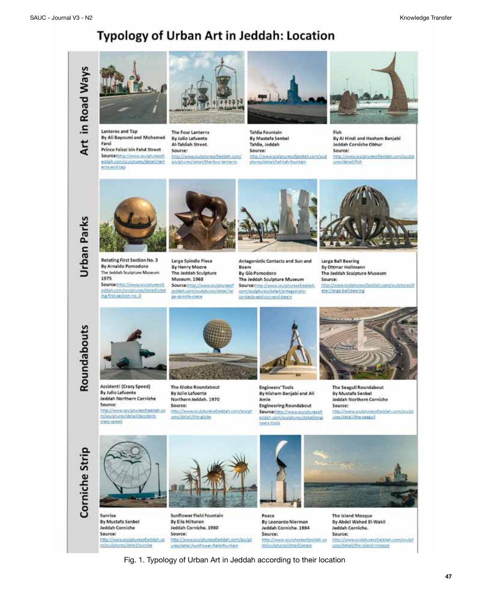# Typology of Urban Art in Jeddah: Location





Lanterns and Tap By Ali Bayoumi and Mohamed Farsi Prince Faisal bin Fahd Street Source:http://www.aculptstesselj eddah.com/sculptures/detail/lant

ernicenditap



The Four Lanterns By Julio Lafuente Al-Tahliah Street. Source: http://www.acufgturesofjeddah.com/ sculptures/detail/the-four-fanterns



Tahlia Fountain By Mustafa Senbel Tahlia, Joddah Source: http://www.sculpturesofjeddah.com/scul phoreu/detail/tehliah-fountain



Fish By Al Hindi and Hesham Banjabi Jeddah Corniche Obhur Source: http://www.scolpturescfjeddah.com/sculpt

unes/detail/fish





Rotating First Section No. 3 By Arnaldo Pomodoro The Jeddah Sculpture Museum 1975 Source that //www.acutoturesoft

eddah.com/scolutures/deta//robe ing-first-section-no.-3



Large Spindle Piece By Henry Moore The Jeddah Sculpture Museum. 1968 Sourcechttp://www.sculpturesof jeddah.com/sculptures/detail/lar ge-ipindis-piece



Antagonistic Contacts and Sun and Beam By Giò Pomodoro

The Jeddah Sculpture Museum Source:http://www.sculpturesofjeddah. com/sculptures/detail/antagonisticcontacts and sur-and-bears



Large Ball Bearing By Ottmar Hollmann The Jeddah Sculpture Museum Source: http://www.vculpturesofjeddah.com/sculptures/d etail/large-ball-bearing

Roundabouts



Accident! (Crazy Speed) By Julio Lafuente Jeddah Northern Corniche Source: http://www.scuipturescfjeddah.co

m/sculptures/detail/accidentcrazy-speed



The Globe Roundabout By Julio Lafuente Northern Jeddah. 1970 Source: http://www.sculpturesofjeddah.com/sculpt ures/detail/the-globe



**Engineers' Tools** By Hisham Benjabi and Ali Amin **Engineering Roundabout** Sourcethttp://www.sculpturesoft

eddah.com/sculptures/detail/engi neers-tools



The Seagull Roundabout By Mustafa Senbel Jeddah Northern Corniche Source:

http://www.sts/pturesofieddah.com/sculpt ures/detail/the-reapy)





Sunrise By Mustafa Senbel **Jeddah Corniche** Source: http://www.so.daturespfjeddah.co m/sculptures/detail/surrise



Sunflower Field Fountain By Eila Hiltunen Jeddah Corniche. 1980 Source: http://www.scy/pturesofyrddah.com/scy/pt ures/detail/sunflower-field-fountain



Peace By Leonardo Nierman Jeddah Corniche. 1984 Source: http://www.stuligturesofjeddah.co m/sculptures/detail/peace

The Island Mosque By Abdel Wahed El-Wakil Juddah Corniche. Source: http://www.sculpturesotjeddah.com/sculpt

ures/detail/the-sland-mossage

Fig. 1. Typology of Urban Art in Jeddah according to their location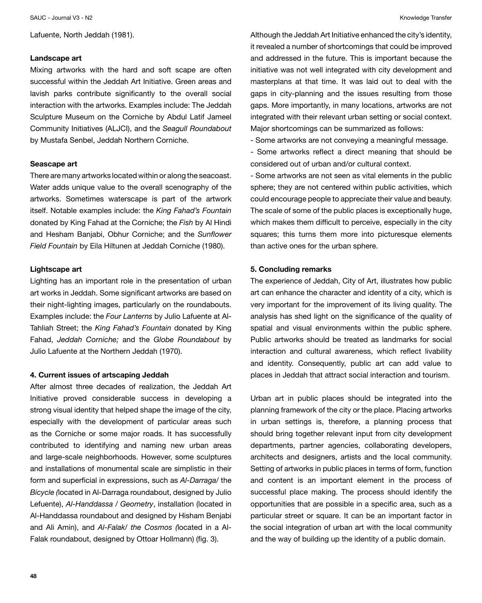Lafuente, North Jeddah (1981).

#### **Landscape art**

Mixing artworks with the hard and soft scape are often successful within the Jeddah Art Initiative. Green areas and lavish parks contribute significantly to the overall social interaction with the artworks. Examples include: The Jeddah Sculpture Museum on the Corniche by Abdul Latif Jameel Community Initiatives (ALJCI), and the *Seagull Roundabout* by Mustafa Senbel, Jeddah Northern Corniche.

#### **Seascape art**

There are many artworks located within or along the seacoast. Water adds unique value to the overall scenography of the artworks. Sometimes waterscape is part of the artwork itself. Notable examples include: the *King Fahad's Fountain* donated by King Fahad at the Corniche; the *Fish* by Al Hindi and Hesham Banjabi, Obhur Corniche; and the *Sunflower Field Fountain* by Eila Hiltunen at Jeddah Corniche (1980).

## **Lightscape art**

Lighting has an important role in the presentation of urban art works in Jeddah. Some significant artworks are based on their night-lighting images, particularly on the roundabouts. Examples include: the *Four Lanterns* by Julio Lafuente at Al-Tahliah Street; the *King Fahad's Fountain* donated by King Fahad, *Jeddah Corniche;* and the *Globe Roundabout* by Julio Lafuente at the Northern Jeddah (1970).

#### **4. Current issues of artscaping Jeddah**

After almost three decades of realization, the Jeddah Art Initiative proved considerable success in developing a strong visual identity that helped shape the image of the city, especially with the development of particular areas such as the Corniche or some major roads. It has successfully contributed to identifying and naming new urban areas and large-scale neighborhoods. However, some sculptures and installations of monumental scale are simplistic in their form and superficial in expressions, such as *Al-Darraga*/ the *Bicycle (*located in Al-Darraga roundabout, designed by Julio Lefuente), *Al-Handdassa / Geometry*, installation (located in Al-Handdassa roundabout and designed by Hisham Benjabi and Ali Amin), and *Al-Falak/ the Cosmos (*located in a Al-Falak roundabout, designed by Ottoar Hollmann) (fig. 3).

Although the Jeddah Art Initiative enhanced the city's identity, it revealed a number of shortcomings that could be improved and addressed in the future. This is important because the initiative was not well integrated with city development and masterplans at that time. It was laid out to deal with the gaps in city-planning and the issues resulting from those gaps. More importantly, in many locations, artworks are not integrated with their relevant urban setting or social context. Major shortcomings can be summarized as follows:

- Some artworks are not conveying a meaningful message.

- Some artworks reflect a direct meaning that should be considered out of urban and/or cultural context.

- Some artworks are not seen as vital elements in the public sphere; they are not centered within public activities, which could encourage people to appreciate their value and beauty. The scale of some of the public places is exceptionally huge, which makes them difficult to perceive, especially in the city squares; this turns them more into picturesque elements than active ones for the urban sphere.

#### **5. Concluding remarks**

The experience of Jeddah, City of Art, illustrates how public art can enhance the character and identity of a city, which is very important for the improvement of its living quality. The analysis has shed light on the significance of the quality of spatial and visual environments within the public sphere. Public artworks should be treated as landmarks for social interaction and cultural awareness, which reflect livability and identity. Consequently, public art can add value to places in Jeddah that attract social interaction and tourism.

Urban art in public places should be integrated into the planning framework of the city or the place. Placing artworks in urban settings is, therefore, a planning process that should bring together relevant input from city development departments, partner agencies, collaborating developers, architects and designers, artists and the local community. Setting of artworks in public places in terms of form, function and content is an important element in the process of successful place making. The process should identify the opportunities that are possible in a specific area, such as a particular street or square. It can be an important factor in the social integration of urban art with the local community and the way of building up the identity of a public domain.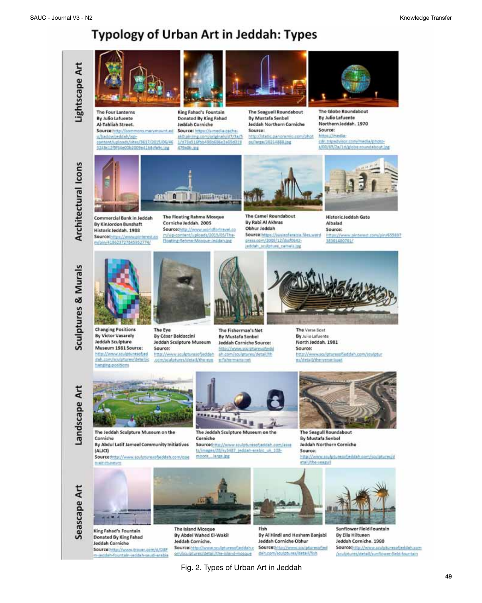## **Typology of Urban Art in Jeddah: Types**



Source: http://www.trpyer.com/d/DBP m-jeddah-fountain-jeddah-saudi-arabia

Fig. 2. Types of Urban Art in Jeddah

deh.com/sculptures/detail/flab

pm/sculptures/detail/the-island-mosque

Doubotures/detail/sunflower-fleid-fouritain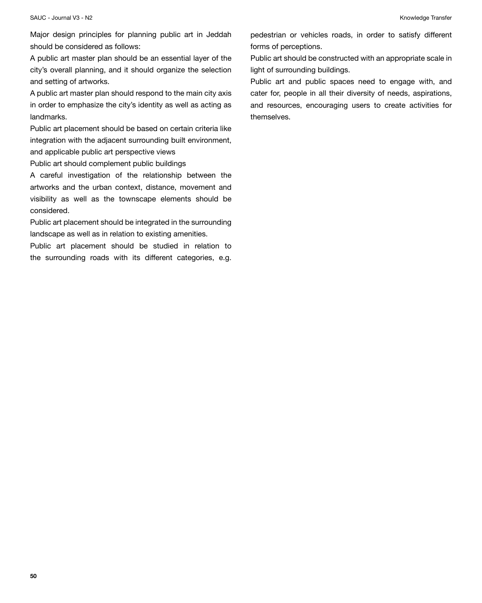Major design principles for planning public art in Jeddah should be considered as follows:

A public art master plan should be an essential layer of the city's overall planning, and it should organize the selection and setting of artworks.

A public art master plan should respond to the main city axis in order to emphasize the city's identity as well as acting as landmarks.

Public art placement should be based on certain criteria like integration with the adjacent surrounding built environment, and applicable public art perspective views

Public art should complement public buildings

A careful investigation of the relationship between the artworks and the urban context, distance, movement and visibility as well as the townscape elements should be considered.

Public art placement should be integrated in the surrounding landscape as well as in relation to existing amenities.

Public art placement should be studied in relation to the surrounding roads with its different categories, e.g. pedestrian or vehicles roads, in order to satisfy different forms of perceptions.

Public art should be constructed with an appropriate scale in light of surrounding buildings.

Public art and public spaces need to engage with, and cater for, people in all their diversity of needs, aspirations, and resources, encouraging users to create activities for themselves.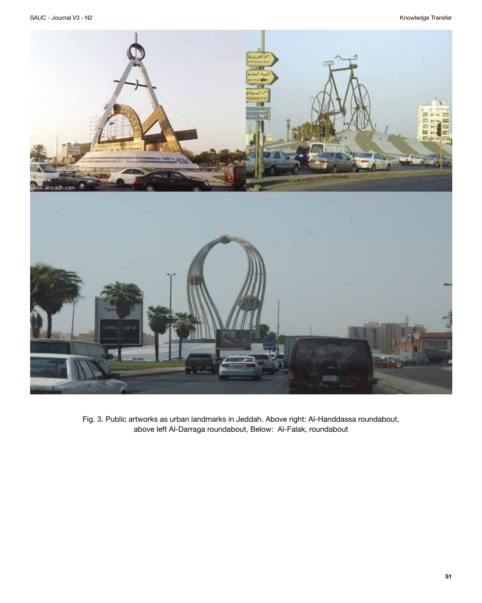

Fig. 3. Public artworks as urban landmarks in Jeddah. Above right: Al-Handdassa roundabout, above left Al-Darraga roundabout, Below: Al-Falak, roundabout